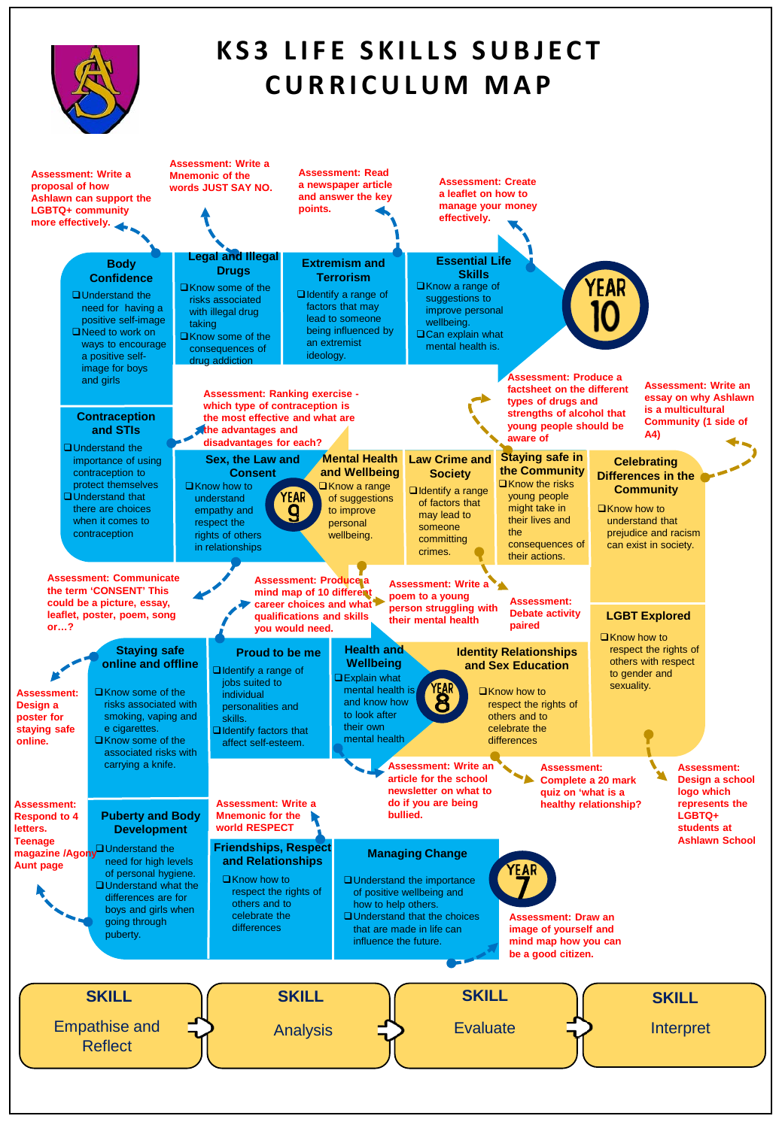